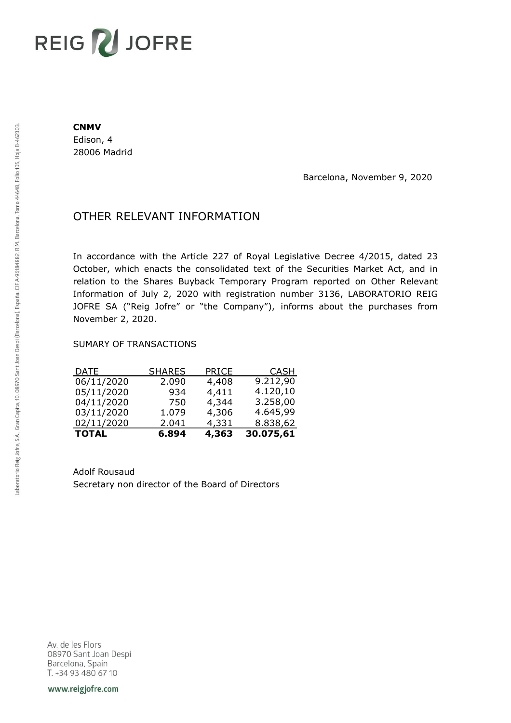# REIG V JOFRE

#### **CNMV**

Edison, 4 28006 Madrid

Barcelona, November 9, 2020

## OTHER RELEVANT INFORMATION

In accordance with the Article 227 of Royal Legislative Decree 4/2015, dated 23 October, which enacts the consolidated text of the Securities Market Act, and in relation to the Shares Buyback Temporary Program reported on Other Relevant Information of July 2, 2020 with registration number 3136, LABORATORIO REIG JOFRE SA ("Reig Jofre" or "the Company"), informs about the purchases from November 2, 2020.

### SUMARY OF TRANSACTIONS

| <b>TOTAL</b> | 6.894         | 4,363        | 30.075,61   |
|--------------|---------------|--------------|-------------|
| 02/11/2020   | 2.041         | 4,331        | 8.838,62    |
| 03/11/2020   | 1.079         | 4,306        | 4.645,99    |
| 04/11/2020   | 750           | 4,344        | 3.258,00    |
| 05/11/2020   | 934           | 4,411        | 4.120,10    |
| 06/11/2020   | 2.090         | 4,408        | 9.212,90    |
| <u>DATE</u>  | <b>SHARES</b> | <b>PRICE</b> | <b>CASH</b> |

Adolf Rousaud Secretary non director of the Board of Directors

Av. de les Flors 08970 Sant Joan Despi Barcelona, Spain T. +34 93 480 67 10

www.reigjofre.com